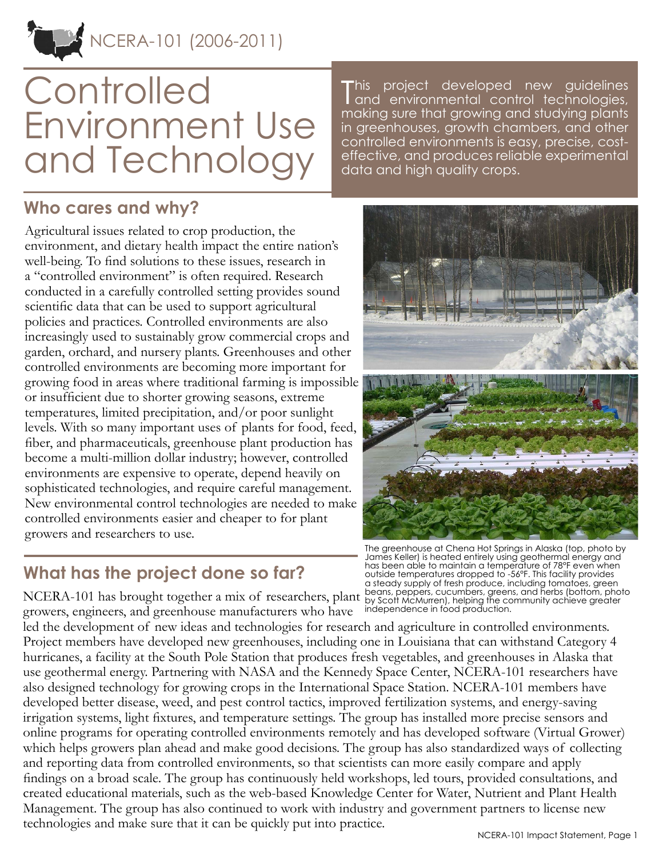# NCERA-101 (2006-2011)

# **Controlled** Environment Use and Technology

This. project developed new guidelines and environmental control technologies, making sure that growing and studying plants in greenhouses, growth chambers, and other controlled environments is easy, precise, costeffective, and produces reliable experimental data and high quality crops.

# **Who cares and why?**

Agricultural issues related to crop production, the environment, and dietary health impact the entire nation's well-being. To find solutions to these issues, research in a "controlled environment" is often required. Research conducted in a carefully controlled setting provides sound scientific data that can be used to support agricultural policies and practices. Controlled environments are also increasingly used to sustainably grow commercial crops and garden, orchard, and nursery plants. Greenhouses and other controlled environments are becoming more important for growing food in areas where traditional farming is impossible or insufficient due to shorter growing seasons, extreme temperatures, limited precipitation, and/or poor sunlight levels. With so many important uses of plants for food, feed, fiber, and pharmaceuticals, greenhouse plant production has become a multi-million dollar industry; however, controlled environments are expensive to operate, depend heavily on sophisticated technologies, and require careful management. New environmental control technologies are needed to make controlled environments easier and cheaper to for plant growers and researchers to use.

# **What has the project done so far?**

NCERA-101 has brought together a mix of researchers, plant growers, engineers, and greenhouse manufacturers who have outside temperatures dropped to -56°F. This facility provides a steady supply of fresh produce, including tomatoes, green beans, peppers, cucumbers, greens, and herbs (bottom, photo by Scott McMurren), helping the community achieve greater independence in food production.

led the development of new ideas and technologies for research and agriculture in controlled environments. Project members have developed new greenhouses, including one in Louisiana that can withstand Category 4 hurricanes, a facility at the South Pole Station that produces fresh vegetables, and greenhouses in Alaska that use geothermal energy. Partnering with NASA and the Kennedy Space Center, NCERA-101 researchers have also designed technology for growing crops in the International Space Station. NCERA-101 members have developed better disease, weed, and pest control tactics, improved fertilization systems, and energy-saving irrigation systems, light fixtures, and temperature settings. The group has installed more precise sensors and online programs for operating controlled environments remotely and has developed software (Virtual Grower) which helps growers plan ahead and make good decisions. The group has also standardized ways of collecting and reporting data from controlled environments, so that scientists can more easily compare and apply findings on a broad scale. The group has continuously held workshops, led tours, provided consultations, and created educational materials, such as the web-based Knowledge Center for Water, Nutrient and Plant Health Management. The group has also continued to work with industry and government partners to license new technologies and make sure that it can be quickly put into practice.



James Keller) is heated entirely using geothermal energy and has been able to maintain a temperature of 78°F even when